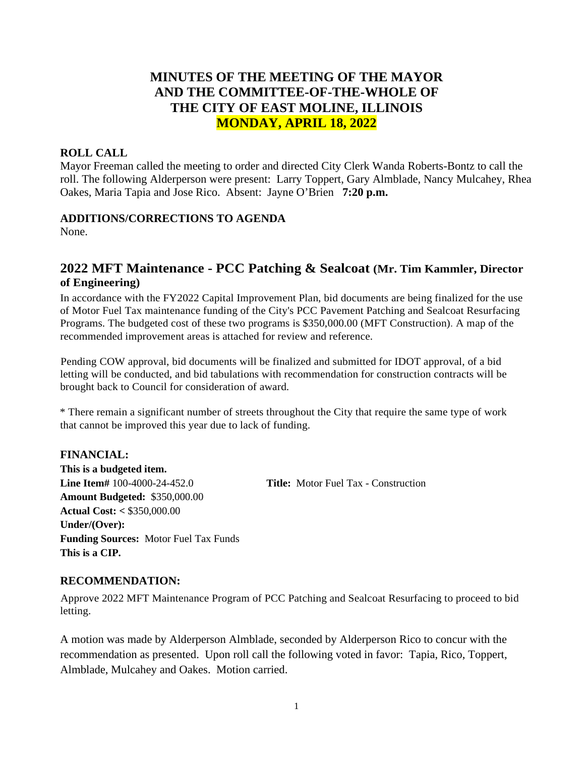# **MINUTES OF THE MEETING OF THE MAYOR AND THE COMMITTEE-OF-THE-WHOLE OF THE CITY OF EAST MOLINE, ILLINOIS MONDAY, APRIL 18, 2022**

### **ROLL CALL**

Mayor Freeman called the meeting to order and directed City Clerk Wanda Roberts-Bontz to call the roll. The following Alderperson were present: Larry Toppert, Gary Almblade, Nancy Mulcahey, Rhea Oakes, Maria Tapia and Jose Rico. Absent: Jayne O'Brien **7:20 p.m.**

### **ADDITIONS/CORRECTIONS TO AGENDA**

None.

# **2022 MFT Maintenance - PCC Patching & Sealcoat (Mr. Tim Kammler, Director of Engineering)**

In accordance with the FY2022 Capital Improvement Plan, bid documents are being finalized for the use of Motor Fuel Tax maintenance funding of the City's PCC Pavement Patching and Sealcoat Resurfacing Programs. The budgeted cost of these two programs is \$350,000.00 (MFT Construction). A map of the recommended improvement areas is attached for review and reference.

Pending COW approval, bid documents will be finalized and submitted for IDOT approval, of a bid letting will be conducted, and bid tabulations with recommendation for construction contracts will be brought back to Council for consideration of award.

\* There remain a significant number of streets throughout the City that require the same type of work that cannot be improved this year due to lack of funding.

# **FINANCIAL:**

**This is a budgeted item. Line Item#** 100-4000-24-452.0 **Title:** Motor Fuel Tax - Construction **Amount Budgeted:** \$350,000.00 **Actual Cost: <** \$350,000.00 **Under/(Over): Funding Sources:** Motor Fuel Tax Funds **This is a CIP.**

### **RECOMMENDATION:**

Approve 2022 MFT Maintenance Program of PCC Patching and Sealcoat Resurfacing to proceed to bid letting.

A motion was made by Alderperson Almblade, seconded by Alderperson Rico to concur with the recommendation as presented. Upon roll call the following voted in favor: Tapia, Rico, Toppert, Almblade, Mulcahey and Oakes. Motion carried.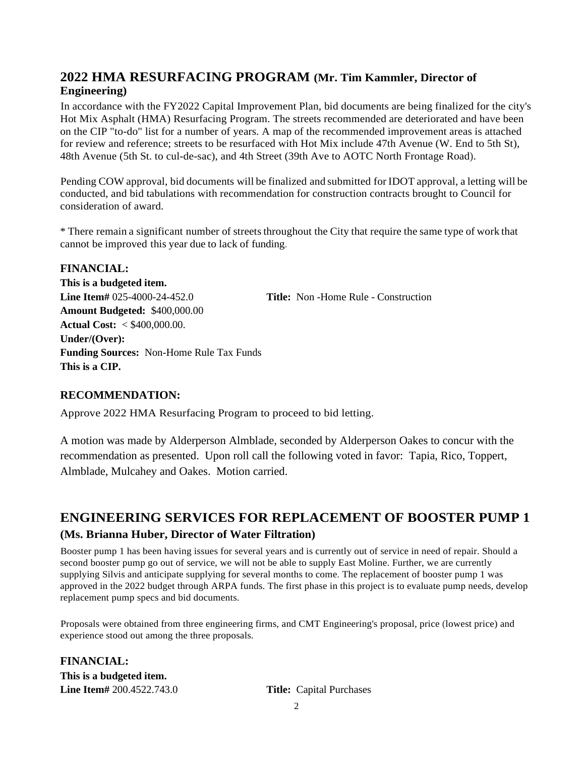# **2022 HMA RESURFACING PROGRAM (Mr. Tim Kammler, Director of Engineering)**

In accordance with the FY2022 Capital Improvement Plan, bid documents are being finalized for the city's Hot Mix Asphalt (HMA) Resurfacing Program. The streets recommended are deteriorated and have been on the CIP "to-do" list for a number of years. A map of the recommended improvement areas is attached for review and reference; streets to be resurfaced with Hot Mix include 47th Avenue (W. End to 5th St), 48th Avenue (5th St. to cul-de-sac), and 4th Street (39th Ave to AOTC North Frontage Road).

Pending COW approval, bid documents will be finalized and submitted for IDOT approval, a letting will be conducted, and bid tabulations with recommendation for construction contracts brought to Council for consideration of award.

\* There remain a significant number of streetsthroughout the City that require the same type of work that cannot be improved this year due to lack of funding.

### **FINANCIAL: This is a budgeted item. Line Item#** 025-4000-24-452.0 **Title:** Non -Home Rule - Construction **Amount Budgeted:** \$400,000.00 **Actual Cost:** < \$400,000.00. **Under/(Over): Funding Sources:** Non-Home Rule Tax Funds **This is a CIP.**

### **RECOMMENDATION:**

Approve 2022 HMA Resurfacing Program to proceed to bid letting.

A motion was made by Alderperson Almblade, seconded by Alderperson Oakes to concur with the recommendation as presented. Upon roll call the following voted in favor: Tapia, Rico, Toppert, Almblade, Mulcahey and Oakes. Motion carried.

# **ENGINEERING SERVICES FOR REPLACEMENT OF BOOSTER PUMP 1 (Ms. Brianna Huber, Director of Water Filtration)**

Booster pump 1 has been having issues for several years and is currently out of service in need of repair. Should a second booster pump go out of service, we will not be able to supply East Moline. Further, we are currently supplying Silvis and anticipate supplying for several months to come. The replacement of booster pump 1 was approved in the 2022 budget through ARPA funds. The first phase in this project is to evaluate pump needs, develop replacement pump specs and bid documents.

Proposals were obtained from three engineering firms, and CMT Engineering's proposal, price (lowest price) and experience stood out among the three proposals.

**FINANCIAL: This is a budgeted item. Line Item#** 200.4522.743.0 **Title:** Capital Purchases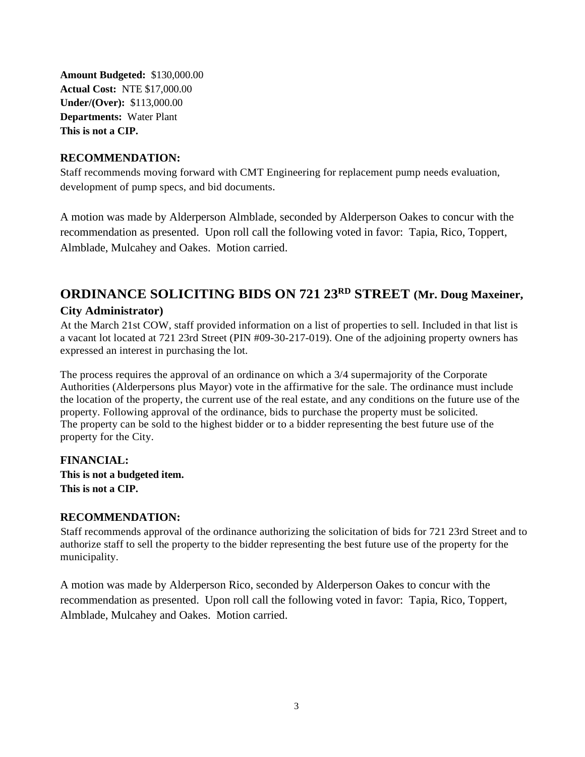**Amount Budgeted:** \$130,000.00 **Actual Cost:** NTE \$17,000.00 **Under/(Over):** \$113,000.00 **Departments:** Water Plant **This is not a CIP.**

### **RECOMMENDATION:**

Staff recommends moving forward with CMT Engineering for replacement pump needs evaluation, development of pump specs, and bid documents.

A motion was made by Alderperson Almblade, seconded by Alderperson Oakes to concur with the recommendation as presented. Upon roll call the following voted in favor: Tapia, Rico, Toppert, Almblade, Mulcahey and Oakes. Motion carried.

# **ORDINANCE SOLICITING BIDS ON 721 23RD STREET (Mr. Doug Maxeiner,**

#### **City Administrator)**

At the March 21st COW, staff provided information on a list of properties to sell. Included in that list is a vacant lot located at 721 23rd Street (PIN #09-30-217-019). One of the adjoining property owners has expressed an interest in purchasing the lot.

The process requires the approval of an ordinance on which a 3/4 supermajority of the Corporate Authorities (Alderpersons plus Mayor) vote in the affirmative for the sale. The ordinance must include the location of the property, the current use of the real estate, and any conditions on the future use of the property. Following approval of the ordinance, bids to purchase the property must be solicited. The property can be sold to the highest bidder or to a bidder representing the best future use of the property for the City.

**FINANCIAL: This is not a budgeted item. This is not a CIP.**

### **RECOMMENDATION:**

Staff recommends approval of the ordinance authorizing the solicitation of bids for 721 23rd Street and to authorize staff to sell the property to the bidder representing the best future use of the property for the municipality.

A motion was made by Alderperson Rico, seconded by Alderperson Oakes to concur with the recommendation as presented. Upon roll call the following voted in favor: Tapia, Rico, Toppert, Almblade, Mulcahey and Oakes. Motion carried.